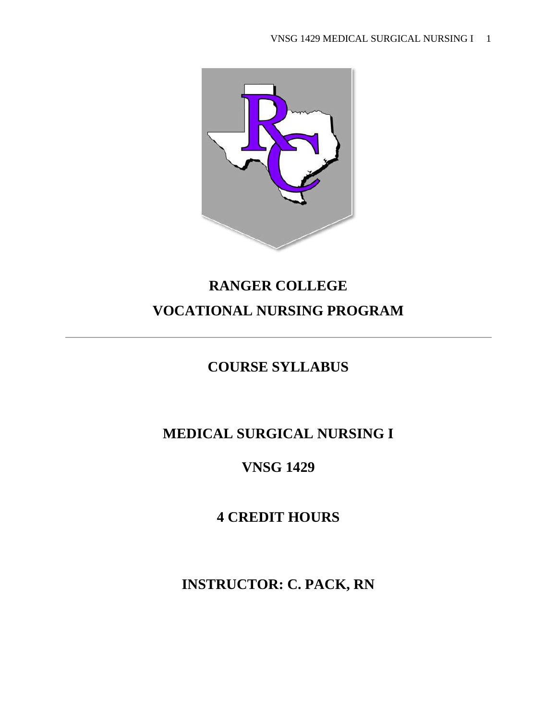

# **RANGER COLLEGE VOCATIONAL NURSING PROGRAM**

# **COURSE SYLLABUS**

# **MEDICAL SURGICAL NURSING I**

# **VNSG 1429**

# **4 CREDIT HOURS**

**INSTRUCTOR: C. PACK, RN**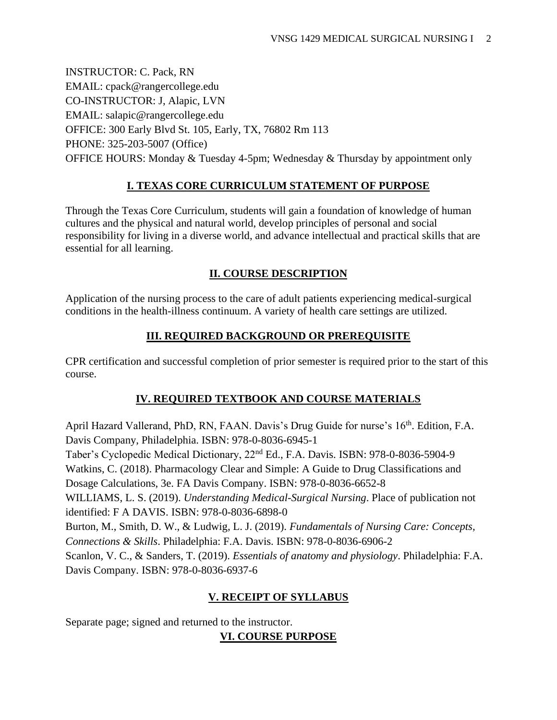INSTRUCTOR: C. Pack, RN EMAIL: cpack@rangercollege.edu CO-INSTRUCTOR: J, Alapic, LVN EMAIL: salapic@rangercollege.edu OFFICE: 300 Early Blvd St. 105, Early, TX, 76802 Rm 113 PHONE: 325-203-5007 (Office) OFFICE HOURS: Monday & Tuesday 4-5pm; Wednesday & Thursday by appointment only

#### **I. TEXAS CORE CURRICULUM STATEMENT OF PURPOSE**

Through the Texas Core Curriculum, students will gain a foundation of knowledge of human cultures and the physical and natural world, develop principles of personal and social responsibility for living in a diverse world, and advance intellectual and practical skills that are essential for all learning.

#### **II. COURSE DESCRIPTION**

Application of the nursing process to the care of adult patients experiencing medical-surgical conditions in the health-illness continuum. A variety of health care settings are utilized.

#### **III. REQUIRED BACKGROUND OR PREREQUISITE**

CPR certification and successful completion of prior semester is required prior to the start of this course.

### **IV. REQUIRED TEXTBOOK AND COURSE MATERIALS**

April Hazard Vallerand, PhD, RN, FAAN. Davis's Drug Guide for nurse's 16<sup>th</sup>. Edition, F.A. Davis Company, Philadelphia. ISBN: 978-0-8036-6945-1 Taber's Cyclopedic Medical Dictionary, 22nd Ed., F.A. Davis. ISBN: 978-0-8036-5904-9 Watkins, C. (2018). Pharmacology Clear and Simple: A Guide to Drug Classifications and Dosage Calculations, 3e. FA Davis Company. ISBN: 978-0-8036-6652-8 WILLIAMS, L. S. (2019). *Understanding Medical-Surgical Nursing*. Place of publication not identified: F A DAVIS. ISBN: 978-0-8036-6898-0 Burton, M., Smith, D. W., & Ludwig, L. J. (2019). *Fundamentals of Nursing Care: Concepts, Connections & Skills*. Philadelphia: F.A. Davis. ISBN: 978-0-8036-6906-2 Scanlon, V. C., & Sanders, T. (2019). *Essentials of anatomy and physiology*. Philadelphia: F.A. Davis Company. ISBN: 978-0-8036-6937-6

### **V. RECEIPT OF SYLLABUS**

Separate page; signed and returned to the instructor.

### **VI. COURSE PURPOSE**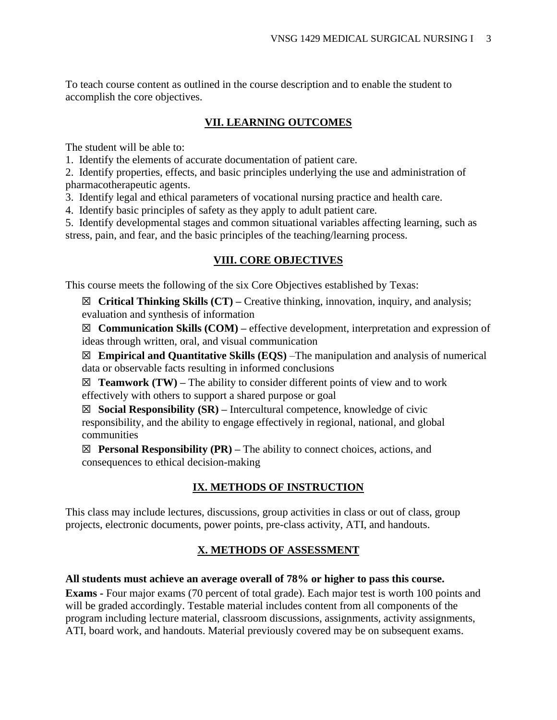To teach course content as outlined in the course description and to enable the student to accomplish the core objectives.

#### **VII. LEARNING OUTCOMES**

The student will be able to:

1. Identify the elements of accurate documentation of patient care.

2. Identify properties, effects, and basic principles underlying the use and administration of pharmacotherapeutic agents.

3. Identify legal and ethical parameters of vocational nursing practice and health care.

4. Identify basic principles of safety as they apply to adult patient care.

5. Identify developmental stages and common situational variables affecting learning, such as stress, pain, and fear, and the basic principles of the teaching/learning process.

#### **VIII. CORE OBJECTIVES**

This course meets the following of the six Core Objectives established by Texas:

☒ **Critical Thinking Skills (CT) –** Creative thinking, innovation, inquiry, and analysis; evaluation and synthesis of information

☒ **Communication Skills (COM) –** effective development, interpretation and expression of ideas through written, oral, and visual communication

☒ **Empirical and Quantitative Skills (EQS)** –The manipulation and analysis of numerical data or observable facts resulting in informed conclusions

 $\boxtimes$  **Teamwork (TW)** – The ability to consider different points of view and to work effectively with others to support a shared purpose or goal

☒ **Social Responsibility (SR) –** Intercultural competence, knowledge of civic responsibility, and the ability to engage effectively in regional, national, and global communities

 $\boxtimes$  **Personal Responsibility (PR)** – The ability to connect choices, actions, and consequences to ethical decision-making

#### **IX. METHODS OF INSTRUCTION**

This class may include lectures, discussions, group activities in class or out of class, group projects, electronic documents, power points, pre-class activity, ATI, and handouts.

#### **X. METHODS OF ASSESSMENT**

#### **All students must achieve an average overall of 78% or higher to pass this course.**

**Exams -** Four major exams (70 percent of total grade). Each major test is worth 100 points and will be graded accordingly. Testable material includes content from all components of the program including lecture material, classroom discussions, assignments, activity assignments, ATI, board work, and handouts. Material previously covered may be on subsequent exams.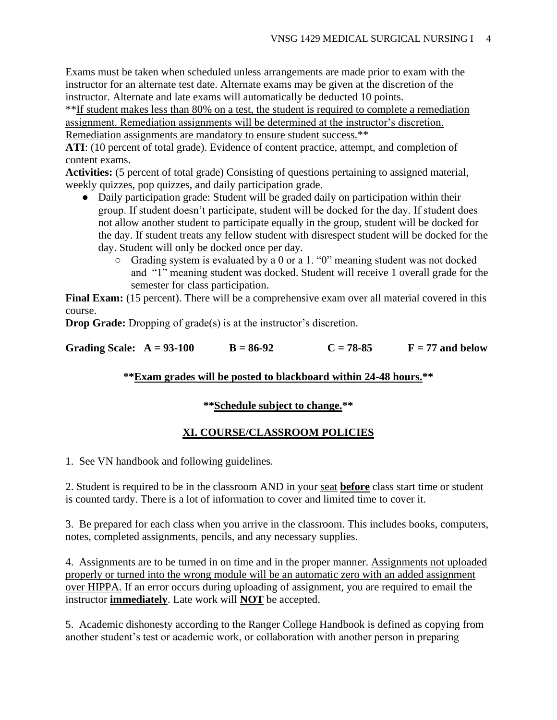Exams must be taken when scheduled unless arrangements are made prior to exam with the instructor for an alternate test date. Alternate exams may be given at the discretion of the instructor. Alternate and late exams will automatically be deducted 10 points.

\*\*If student makes less than 80% on a test, the student is required to complete a remediation assignment. Remediation assignments will be determined at the instructor's discretion. Remediation assignments are mandatory to ensure student success.\*\*

**ATI**: (10 percent of total grade). Evidence of content practice, attempt, and completion of content exams.

**Activities:** (5 percent of total grade) Consisting of questions pertaining to assigned material, weekly quizzes, pop quizzes, and daily participation grade.

- Daily participation grade: Student will be graded daily on participation within their group. If student doesn't participate, student will be docked for the day. If student does not allow another student to participate equally in the group, student will be docked for the day. If student treats any fellow student with disrespect student will be docked for the day. Student will only be docked once per day.
	- Grading system is evaluated by a 0 or a 1. "0" meaning student was not docked and "1" meaning student was docked. Student will receive 1 overall grade for the semester for class participation.

**Final Exam:** (15 percent). There will be a comprehensive exam over all material covered in this course.

**Drop Grade:** Dropping of grade(s) is at the instructor's discretion.

Grading Scale:  $A = 93-100$   $B = 86-92$   $C = 78-85$   $F = 77$  and below

#### **\*\*Exam grades will be posted to blackboard within 24-48 hours.\*\***

#### **\*\*Schedule subject to change.\*\***

#### **XI. COURSE/CLASSROOM POLICIES**

1. See VN handbook and following guidelines.

2. Student is required to be in the classroom AND in your seat **before** class start time or student is counted tardy. There is a lot of information to cover and limited time to cover it.

3. Be prepared for each class when you arrive in the classroom. This includes books, computers, notes, completed assignments, pencils, and any necessary supplies.

4. Assignments are to be turned in on time and in the proper manner. Assignments not uploaded properly or turned into the wrong module will be an automatic zero with an added assignment over HIPPA. If an error occurs during uploading of assignment, you are required to email the instructor **immediately**. Late work will **NOT** be accepted.

5. Academic dishonesty according to the Ranger College Handbook is defined as copying from another student's test or academic work, or collaboration with another person in preparing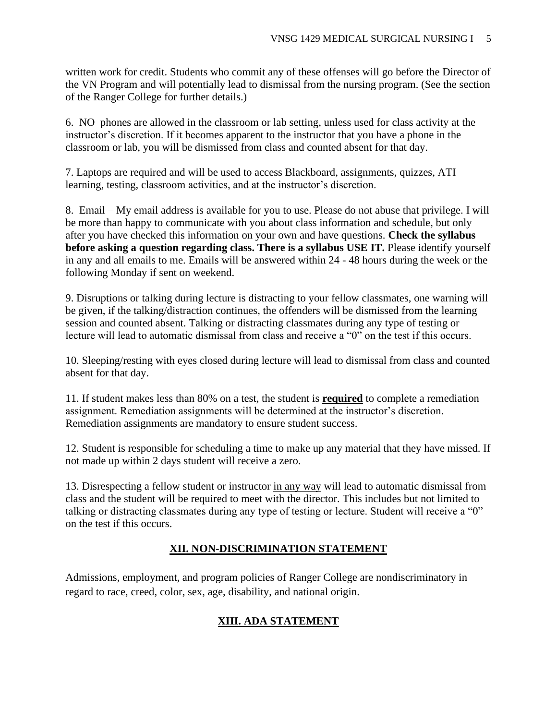written work for credit. Students who commit any of these offenses will go before the Director of the VN Program and will potentially lead to dismissal from the nursing program. (See the section of the Ranger College for further details.)

6. NO phones are allowed in the classroom or lab setting, unless used for class activity at the instructor's discretion. If it becomes apparent to the instructor that you have a phone in the classroom or lab, you will be dismissed from class and counted absent for that day.

7. Laptops are required and will be used to access Blackboard, assignments, quizzes, ATI learning, testing, classroom activities, and at the instructor's discretion.

8. Email – My email address is available for you to use. Please do not abuse that privilege. I will be more than happy to communicate with you about class information and schedule, but only after you have checked this information on your own and have questions. **Check the syllabus before asking a question regarding class. There is a syllabus USE IT.** Please identify yourself in any and all emails to me. Emails will be answered within 24 - 48 hours during the week or the following Monday if sent on weekend.

9. Disruptions or talking during lecture is distracting to your fellow classmates, one warning will be given, if the talking/distraction continues, the offenders will be dismissed from the learning session and counted absent. Talking or distracting classmates during any type of testing or lecture will lead to automatic dismissal from class and receive a "0" on the test if this occurs.

10. Sleeping/resting with eyes closed during lecture will lead to dismissal from class and counted absent for that day.

11. If student makes less than 80% on a test, the student is **required** to complete a remediation assignment. Remediation assignments will be determined at the instructor's discretion. Remediation assignments are mandatory to ensure student success.

12. Student is responsible for scheduling a time to make up any material that they have missed. If not made up within 2 days student will receive a zero.

13. Disrespecting a fellow student or instructor in any way will lead to automatic dismissal from class and the student will be required to meet with the director. This includes but not limited to talking or distracting classmates during any type of testing or lecture. Student will receive a "0" on the test if this occurs.

### **XII. NON-DISCRIMINATION STATEMENT**

Admissions, employment, and program policies of Ranger College are nondiscriminatory in regard to race, creed, color, sex, age, disability, and national origin.

# **XIII. ADA STATEMENT**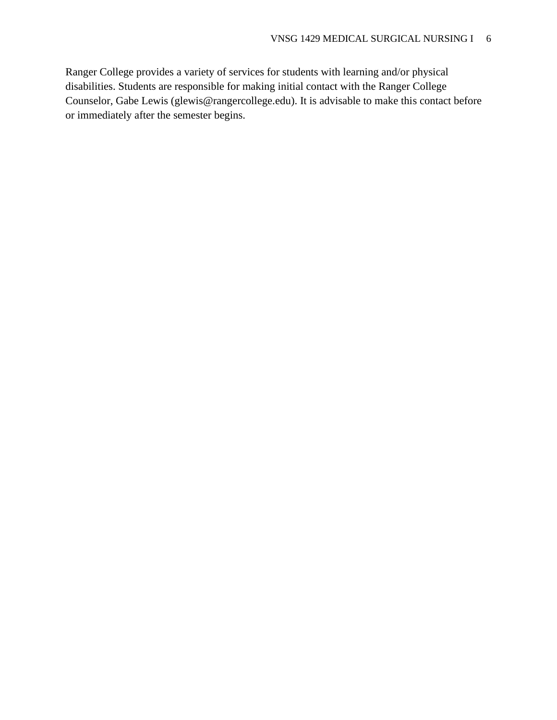Ranger College provides a variety of services for students with learning and/or physical disabilities. Students are responsible for making initial contact with the Ranger College Counselor, Gabe Lewis (glewis@rangercollege.edu). It is advisable to make this contact before or immediately after the semester begins.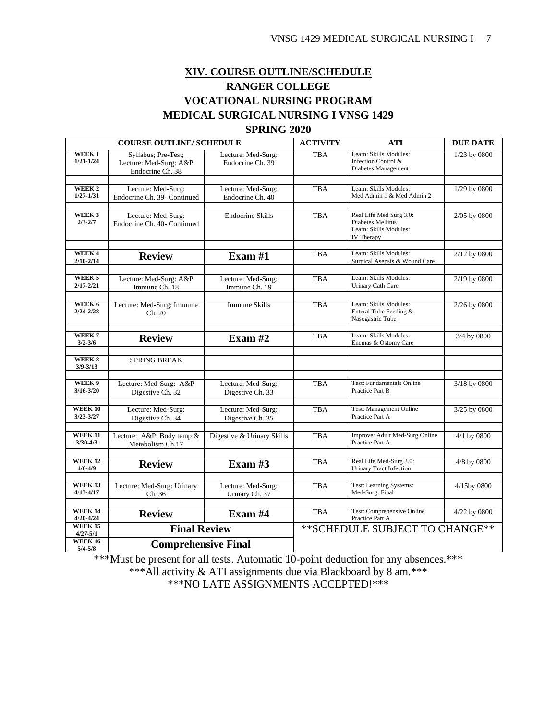## **XIV. COURSE OUTLINE/SCHEDULE RANGER COLLEGE VOCATIONAL NURSING PROGRAM MEDICAL SURGICAL NURSING I VNSG 1429 SPRING 2020**

| <b>COURSE OUTLINE/ SCHEDULE</b>                |                                                                   |                                        | <b>ACTIVITY</b> | <b>ATI</b>                                                                           | <b>DUE DATE</b> |
|------------------------------------------------|-------------------------------------------------------------------|----------------------------------------|-----------------|--------------------------------------------------------------------------------------|-----------------|
| WEEK <sub>1</sub><br>$1/21 - 1/24$             | Syllabus; Pre-Test;<br>Lecture: Med-Surg: A&P<br>Endocrine Ch. 38 | Lecture: Med-Surg:<br>Endocrine Ch. 39 | TBA             | Learn: Skills Modules:<br>Infection Control &<br>Diabetes Management                 | 1/23 by 0800    |
|                                                |                                                                   |                                        |                 |                                                                                      |                 |
| $\overline{\textbf{W}}$ EEK 2<br>$1/27 - 1/31$ | Lecture: Med-Surg:<br>Endocrine Ch. 39- Continued                 | Lecture: Med-Surg:<br>Endocrine Ch. 40 | <b>TBA</b>      | Learn: Skills Modules:<br>Med Admin 1 & Med Admin 2                                  | 1/29 by 0800    |
|                                                |                                                                   |                                        |                 |                                                                                      |                 |
| WEEK <sub>3</sub><br>$2/3 - 2/7$               | Lecture: Med-Surg:<br>Endocrine Ch. 40- Continued                 | <b>Endocrine Skills</b>                | <b>TBA</b>      | Real Life Med Surg 3.0:<br>Diabetes Mellitus<br>Learn: Skills Modules:<br>IV Therapy | 2/05 by 0800    |
| WEEK4                                          |                                                                   |                                        |                 |                                                                                      |                 |
| $2/10 - 2/14$                                  | <b>Review</b>                                                     | Exam $#1$                              | <b>TBA</b>      | Learn: Skills Modules:<br>Surgical Asepsis & Wound Care                              | 2/12 by 0800    |
| WEEK <sub>5</sub>                              | Lecture: Med-Surg: A&P                                            | Lecture: Med-Surg:                     | <b>TBA</b>      | Learn: Skills Modules:                                                               | 2/19 by 0800    |
| $2/17 - 2/21$                                  | Immune Ch. 18                                                     | Immune Ch. 19                          |                 | Urinary Cath Care                                                                    |                 |
| WEEK 6                                         |                                                                   | <b>Immune Skills</b>                   | <b>TBA</b>      | Learn: Skills Modules:                                                               |                 |
| $2/24 - 2/28$                                  | Lecture: Med-Surg: Immune<br>Ch. 20                               |                                        |                 | Enteral Tube Feeding &<br>Nasogastric Tube                                           | 2/26 by 0800    |
|                                                |                                                                   |                                        |                 |                                                                                      |                 |
| WEEK7<br>$3/2 - 3/6$                           | <b>Review</b>                                                     | Exam $#2$                              | <b>TBA</b>      | Learn: Skills Modules:<br>Enemas & Ostomy Care                                       | 3/4 by 0800     |
|                                                |                                                                   |                                        |                 |                                                                                      |                 |
| WEEK 8<br>$3/9 - 3/13$                         | <b>SPRING BREAK</b>                                               |                                        |                 |                                                                                      |                 |
| WEEK 9                                         |                                                                   |                                        |                 | <b>Test: Fundamentals Online</b>                                                     |                 |
| $3/16 - 3/20$                                  | Lecture: Med-Surg: A&P<br>Digestive Ch. 32                        | Lecture: Med-Surg:<br>Digestive Ch. 33 | <b>TBA</b>      | Practice Part B                                                                      | 3/18 by 0800    |
| <b>WEEK 10</b>                                 | Lecture: Med-Surg:                                                | Lecture: Med-Surg:                     | <b>TBA</b>      | Test: Management Online                                                              | 3/25 by 0800    |
| $3/23 - 3/27$                                  | Digestive Ch. 34                                                  | Digestive Ch. 35                       |                 | Practice Part A                                                                      |                 |
| <b>WEEK 11</b>                                 | Lecture: A&P: Body temp &                                         | Digestive & Urinary Skills             | <b>TBA</b>      | Improve: Adult Med-Surg Online                                                       | 4/1 by 0800     |
| $3/30 - 4/3$                                   | Metabolism Ch.17                                                  |                                        |                 | Practice Part A                                                                      |                 |
|                                                |                                                                   |                                        |                 |                                                                                      |                 |
| <b>WEEK 12</b><br>$4/6 - 4/9$                  | <b>Review</b>                                                     | Exam $#3$                              | <b>TBA</b>      | Real Life Med-Surg 3.0:<br><b>Urinary Tract Infection</b>                            | 4/8 by 0800     |
| <b>WEEK 13</b>                                 | Lecture: Med-Surg: Urinary                                        | Lecture: Med-Surg:                     | <b>TBA</b>      | Test: Learning Systems:                                                              | 4/15by 0800     |
| $4/13 - 4/17$                                  | Ch. 36                                                            | Urinary Ch. 37                         |                 | Med-Surg: Final                                                                      |                 |
| <b>WEEK 14</b>                                 |                                                                   |                                        | <b>TBA</b>      |                                                                                      |                 |
| $4/20 - 4/24$                                  | <b>Review</b>                                                     | Exam #4                                |                 | Test: Comprehensive Online<br>Practice Part A                                        | 4/22 by 0800    |
| <b>WEEK 15</b><br>$4/27 - 5/1$                 | <b>Final Review</b>                                               |                                        |                 | ** SCHEDULE SUBJECT TO CHANGE**                                                      |                 |
| <b>WEEK 16</b><br>$5/4 - 5/8$                  | <b>Comprehensive Final</b>                                        |                                        |                 |                                                                                      |                 |

\*\*\*Must be present for all tests. Automatic 10-point deduction for any absences.\*\*\*

\*\*\*All activity & ATI assignments due via Blackboard by 8 am.\*\*\*

\*\*\*NO LATE ASSIGNMENTS ACCEPTED!\*\*\*